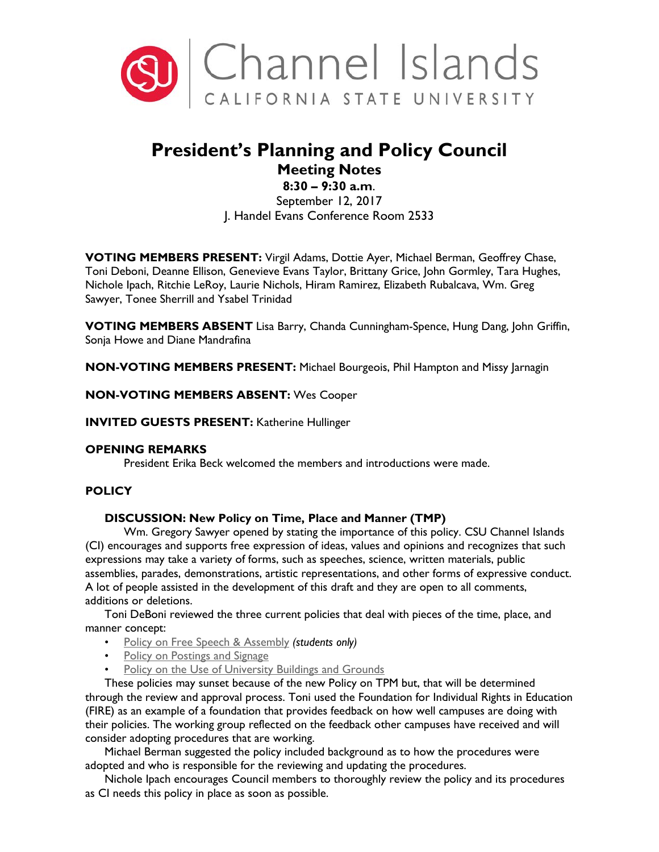

# **President's Planning and Policy Council Meeting Notes**

# **8:30 – 9:30 a.m**.

September 12, 2017 J. Handel Evans Conference Room 2533

**VOTING MEMBERS PRESENT:** Virgil Adams, Dottie Ayer, Michael Berman, Geoffrey Chase, Toni Deboni, Deanne Ellison, Genevieve Evans Taylor, Brittany Grice, John Gormley, Tara Hughes, Nichole Ipach, Ritchie LeRoy, Laurie Nichols, Hiram Ramirez, Elizabeth Rubalcava, Wm. Greg Sawyer, Tonee Sherrill and Ysabel Trinidad

**VOTING MEMBERS ABSENT** Lisa Barry, Chanda Cunningham-Spence, Hung Dang, John Griffin, Sonja Howe and Diane Mandrafina

**NON-VOTING MEMBERS PRESENT:** Michael Bourgeois, Phil Hampton and Missy Jarnagin

### **NON-VOTING MEMBERS ABSENT:** Wes Cooper

**INVITED GUESTS PRESENT:** Katherine Hullinger

#### **OPENING REMARKS**

President Erika Beck welcomed the members and introductions were made.

# **POLICY**

#### **DISCUSSION: New Policy on Time, Place and Manner (TMP)**

Wm. Gregory Sawyer opened by stating the importance of this policy. CSU Channel Islands (CI) encourages and supports free expression of ideas, values and opinions and recognizes that such expressions may take a variety of forms, such as speeches, science, written materials, public assemblies, parades, demonstrations, artistic representations, and other forms of expressive conduct. A lot of people assisted in the development of this draft and they are open to all comments, additions or deletions.

Toni DeBoni reviewed the three current policies that deal with pieces of the time, place, and manner concept:

- [Policy on Free Speech & Assembly](https://www.csuci.edu/academics/catalog-and-schedule/catalog/2006-2007/12_policiesandregulations/79_sa07006-policyonfreespeechandassembly.htm) *(students only)*
- [Policy on Postings and Signage](http://policy.csuci.edu/cm/02/cm-02-006.htm)
- [Policy on the Use of University Buildings and Grounds](http://policy.csuci.edu/fa/40/fa-40-005.htm)

These policies may sunset because of the new Policy on TPM but, that will be determined through the review and approval process. Toni used the Foundation for Individual Rights in Education (FIRE) as an example of a foundation that provides feedback on how well campuses are doing with their policies. The working group reflected on the feedback other campuses have received and will consider adopting procedures that are working.

Michael Berman suggested the policy included background as to how the procedures were adopted and who is responsible for the reviewing and updating the procedures.

Nichole Ipach encourages Council members to thoroughly review the policy and its procedures as CI needs this policy in place as soon as possible.